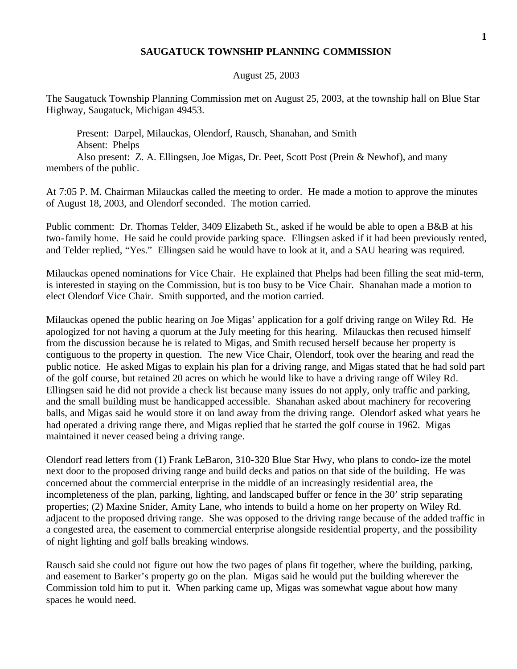## **SAUGATUCK TOWNSHIP PLANNING COMMISSION**

## August 25, 2003

The Saugatuck Township Planning Commission met on August 25, 2003, at the township hall on Blue Star Highway, Saugatuck, Michigan 49453.

Present: Darpel, Milauckas, Olendorf, Rausch, Shanahan, and Smith Absent: Phelps

Also present: Z. A. Ellingsen, Joe Migas, Dr. Peet, Scott Post (Prein & Newhof), and many members of the public.

At 7:05 P. M. Chairman Milauckas called the meeting to order. He made a motion to approve the minutes of August 18, 2003, and Olendorf seconded. The motion carried.

Public comment: Dr. Thomas Telder, 3409 Elizabeth St., asked if he would be able to open a B&B at his two-family home. He said he could provide parking space. Ellingsen asked if it had been previously rented, and Telder replied, "Yes." Ellingsen said he would have to look at it, and a SAU hearing was required.

Milauckas opened nominations for Vice Chair. He explained that Phelps had been filling the seat mid-term, is interested in staying on the Commission, but is too busy to be Vice Chair. Shanahan made a motion to elect Olendorf Vice Chair. Smith supported, and the motion carried.

Milauckas opened the public hearing on Joe Migas' application for a golf driving range on Wiley Rd. He apologized for not having a quorum at the July meeting for this hearing. Milauckas then recused himself from the discussion because he is related to Migas, and Smith recused herself because her property is contiguous to the property in question. The new Vice Chair, Olendorf, took over the hearing and read the public notice. He asked Migas to explain his plan for a driving range, and Migas stated that he had sold part of the golf course, but retained 20 acres on which he would like to have a driving range off Wiley Rd. Ellingsen said he did not provide a check list because many issues do not apply, only traffic and parking, and the small building must be handicapped accessible. Shanahan asked about machinery for recovering balls, and Migas said he would store it on land away from the driving range. Olendorf asked what years he had operated a driving range there, and Migas replied that he started the golf course in 1962. Migas maintained it never ceased being a driving range.

Olendorf read letters from (1) Frank LeBaron, 310-320 Blue Star Hwy, who plans to condo-ize the motel next door to the proposed driving range and build decks and patios on that side of the building. He was concerned about the commercial enterprise in the middle of an increasingly residential area, the incompleteness of the plan, parking, lighting, and landscaped buffer or fence in the 30' strip separating properties; (2) Maxine Snider, Amity Lane, who intends to build a home on her property on Wiley Rd. adjacent to the proposed driving range. She was opposed to the driving range because of the added traffic in a congested area, the easement to commercial enterprise alongside residential property, and the possibility of night lighting and golf balls breaking windows.

Rausch said she could not figure out how the two pages of plans fit together, where the building, parking, and easement to Barker's property go on the plan. Migas said he would put the building wherever the Commission told him to put it. When parking came up, Migas was somewhat vague about how many spaces he would need.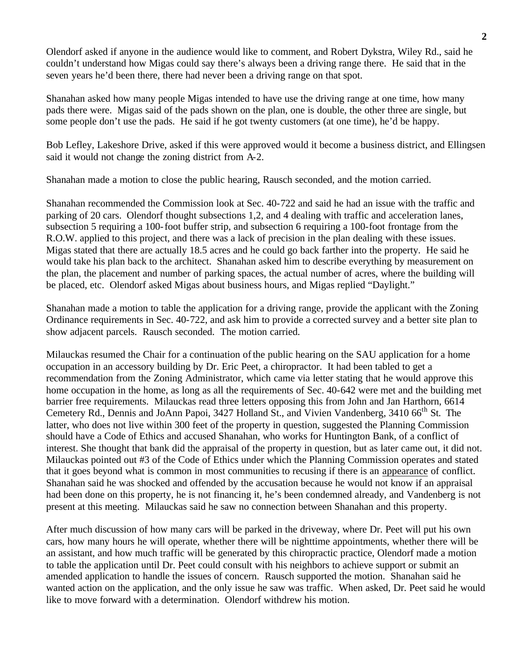Olendorf asked if anyone in the audience would like to comment, and Robert Dykstra, Wiley Rd., said he couldn't understand how Migas could say there's always been a driving range there. He said that in the seven years he'd been there, there had never been a driving range on that spot.

Shanahan asked how many people Migas intended to have use the driving range at one time, how many pads there were. Migas said of the pads shown on the plan, one is double, the other three are single, but some people don't use the pads. He said if he got twenty customers (at one time), he'd be happy.

Bob Lefley, Lakeshore Drive, asked if this were approved would it become a business district, and Ellingsen said it would not change the zoning district from A-2.

Shanahan made a motion to close the public hearing, Rausch seconded, and the motion carried.

Shanahan recommended the Commission look at Sec. 40-722 and said he had an issue with the traffic and parking of 20 cars. Olendorf thought subsections 1,2, and 4 dealing with traffic and acceleration lanes, subsection 5 requiring a 100-foot buffer strip, and subsection 6 requiring a 100-foot frontage from the R.O.W. applied to this project, and there was a lack of precision in the plan dealing with these issues. Migas stated that there are actually 18.5 acres and he could go back farther into the property. He said he would take his plan back to the architect. Shanahan asked him to describe everything by measurement on the plan, the placement and number of parking spaces, the actual number of acres, where the building will be placed, etc. Olendorf asked Migas about business hours, and Migas replied "Daylight."

Shanahan made a motion to table the application for a driving range, provide the applicant with the Zoning Ordinance requirements in Sec. 40-722, and ask him to provide a corrected survey and a better site plan to show adjacent parcels. Rausch seconded. The motion carried.

Milauckas resumed the Chair for a continuation of the public hearing on the SAU application for a home occupation in an accessory building by Dr. Eric Peet, a chiropractor. It had been tabled to get a recommendation from the Zoning Administrator, which came via letter stating that he would approve this home occupation in the home, as long as all the requirements of Sec. 40-642 were met and the building met barrier free requirements. Milauckas read three letters opposing this from John and Jan Harthorn, 6614 Cemetery Rd., Dennis and JoAnn Papoi, 3427 Holland St., and Vivien Vandenberg, 3410 66<sup>th</sup> St. The latter, who does not live within 300 feet of the property in question, suggested the Planning Commission should have a Code of Ethics and accused Shanahan, who works for Huntington Bank, of a conflict of interest. She thought that bank did the appraisal of the property in question, but as later came out, it did not. Milauckas pointed out #3 of the Code of Ethics under which the Planning Commission operates and stated that it goes beyond what is common in most communities to recusing if there is an appearance of conflict. Shanahan said he was shocked and offended by the accusation because he would not know if an appraisal had been done on this property, he is not financing it, he's been condemned already, and Vandenberg is not present at this meeting. Milauckas said he saw no connection between Shanahan and this property.

After much discussion of how many cars will be parked in the driveway, where Dr. Peet will put his own cars, how many hours he will operate, whether there will be nighttime appointments, whether there will be an assistant, and how much traffic will be generated by this chiropractic practice, Olendorf made a motion to table the application until Dr. Peet could consult with his neighbors to achieve support or submit an amended application to handle the issues of concern. Rausch supported the motion. Shanahan said he wanted action on the application, and the only issue he saw was traffic. When asked, Dr. Peet said he would like to move forward with a determination. Olendorf withdrew his motion.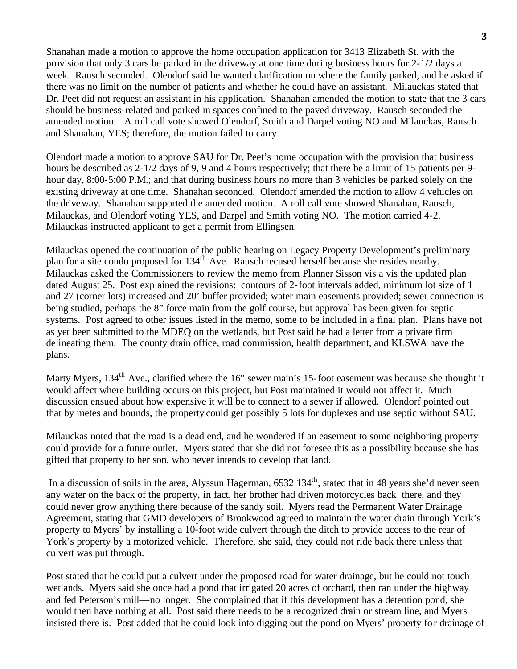Shanahan made a motion to approve the home occupation application for 3413 Elizabeth St. with the provision that only 3 cars be parked in the driveway at one time during business hours for 2-1/2 days a week. Rausch seconded. Olendorf said he wanted clarification on where the family parked, and he asked if there was no limit on the number of patients and whether he could have an assistant. Milauckas stated that Dr. Peet did not request an assistant in his application. Shanahan amended the motion to state that the 3 cars should be business-related and parked in spaces confined to the paved driveway. Rausch seconded the amended motion. A roll call vote showed Olendorf, Smith and Darpel voting NO and Milauckas, Rausch and Shanahan, YES; therefore, the motion failed to carry.

Olendorf made a motion to approve SAU for Dr. Peet's home occupation with the provision that business hours be described as 2-1/2 days of 9, 9 and 4 hours respectively; that there be a limit of 15 patients per 9 hour day, 8:00-5:00 P.M.; and that during business hours no more than 3 vehicles be parked solely on the existing driveway at one time. Shanahan seconded. Olendorf amended the motion to allow 4 vehicles on the driveway. Shanahan supported the amended motion. A roll call vote showed Shanahan, Rausch, Milauckas, and Olendorf voting YES, and Darpel and Smith voting NO. The motion carried 4-2. Milauckas instructed applicant to get a permit from Ellingsen.

Milauckas opened the continuation of the public hearing on Legacy Property Development's preliminary plan for a site condo proposed for 134<sup>th</sup> Ave. Rausch recused herself because she resides nearby. Milauckas asked the Commissioners to review the memo from Planner Sisson vis a vis the updated plan dated August 25. Post explained the revisions: contours of 2-foot intervals added, minimum lot size of 1 and 27 (corner lots) increased and 20' buffer provided; water main easements provided; sewer connection is being studied, perhaps the 8" force main from the golf course, but approval has been given for septic systems. Post agreed to other issues listed in the memo, some to be included in a final plan. Plans have not as yet been submitted to the MDEQ on the wetlands, but Post said he had a letter from a private firm delineating them. The county drain office, road commission, health department, and KLSWA have the plans.

Marty Myers, 134<sup>th</sup> Ave., clarified where the 16" sewer main's 15-foot easement was because she thought it would affect where building occurs on this project, but Post maintained it would not affect it. Much discussion ensued about how expensive it will be to connect to a sewer if allowed. Olendorf pointed out that by metes and bounds, the property could get possibly 5 lots for duplexes and use septic without SAU.

Milauckas noted that the road is a dead end, and he wondered if an easement to some neighboring property could provide for a future outlet. Myers stated that she did not foresee this as a possibility because she has gifted that property to her son, who never intends to develop that land.

In a discussion of soils in the area, Alyssun Hagerman, 6532 134<sup>th</sup>, stated that in 48 years she'd never seen any water on the back of the property, in fact, her brother had driven motorcycles back there, and they could never grow anything there because of the sandy soil. Myers read the Permanent Water Drainage Agreement, stating that GMD developers of Brookwood agreed to maintain the water drain through York's property to Myers' by installing a 10-foot wide culvert through the ditch to provide access to the rear of York's property by a motorized vehicle. Therefore, she said, they could not ride back there unless that culvert was put through.

Post stated that he could put a culvert under the proposed road for water drainage, but he could not touch wetlands. Myers said she once had a pond that irrigated 20 acres of orchard, then ran under the highway and fed Peterson's mill—no longer. She complained that if this development has a detention pond, she would then have nothing at all. Post said there needs to be a recognized drain or stream line, and Myers insisted there is. Post added that he could look into digging out the pond on Myers' property for drainage of